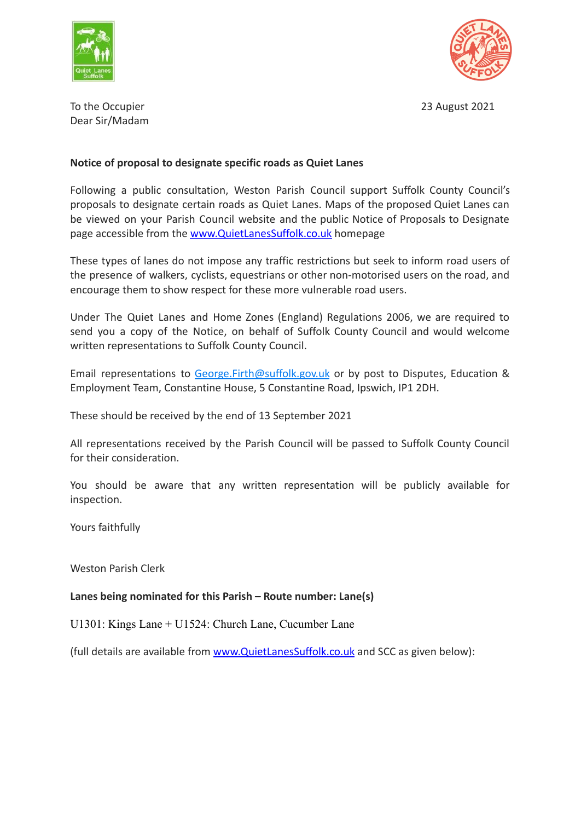



To the Occupier 2021 **The Occupier 2021** Dear Sir/Madam

## **Notice of proposal to designate specific roads as Quiet Lanes**

Following a public consultation, Weston Parish Council support Suffolk County Council's proposals to designate certain roads as Quiet Lanes. Maps of the proposed Quiet Lanes can be viewed on your Parish Council website and the public Notice of Proposals to Designate page accessible from the [www.QuietLanesSuffolk.co.uk](http://www.quietlanessuffolk.co.uk) homepage

These types of lanes do not impose any traffic restrictions but seek to inform road users of the presence of walkers, cyclists, equestrians or other non-motorised users on the road, and encourage them to show respect for these more vulnerable road users.

Under The Quiet Lanes and Home Zones (England) Regulations 2006, we are required to send you a copy of the Notice, on behalf of Suffolk County Council and would welcome written representations to Suffolk County Council.

Email representations to [George.Firth@suffolk.gov.uk](mailto:George.Firth@suffolk.gov.uk) or by post to Disputes, Education & Employment Team, Constantine House, 5 Constantine Road, Ipswich, IP1 2DH.

These should be received by the end of 13 September 2021

All representations received by the Parish Council will be passed to Suffolk County Council for their consideration.

You should be aware that any written representation will be publicly available for inspection.

Yours faithfully

Weston Parish Clerk

**Lanes being nominated for this Parish – Route number: Lane(s)**

U1301: Kings Lane + U1524: Church Lane, Cucumber Lane

(full details are available from [www.QuietLanesSuffolk.co.uk](http://www.quietlanessuffolk.co.uk) and SCC as given below):